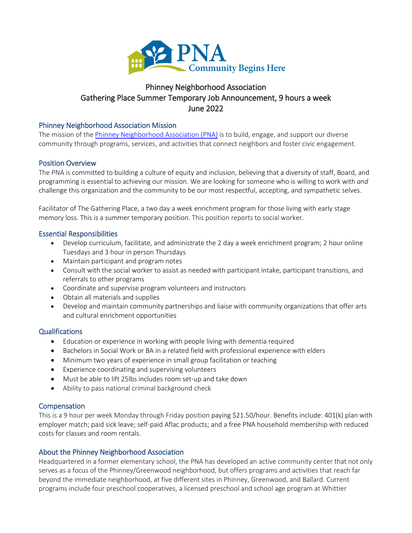

# Phinney Neighborhood Association Gathering Place Summer Temporary Job Announcement, 9 hours a week June 2022

#### Phinney Neighborhood Association Mission

The mission of th[e Phinney Neighborhood Association \(PNA\)](http://www.phinneycenter.org/) is to build, engage, and support our diverse community through programs, services, and activities that connect neighbors and foster civic engagement.

### Position Overview

The PNA is committed to building a culture of equity and inclusion, believing that a diversity of staff, Board, and programming is essential to achieving our mission. We are looking for someone who is willing to work with *and* challenge this organization and the community to be our most respectful, accepting, and sympathetic selves.

Facilitator of The Gathering Place, a two day a week enrichment program for those living with early stage memory loss. This is a summer temporary position. This position reports to social worker.

#### Essential Responsibilities

- Develop curriculum, facilitate, and administrate the 2 day a week enrichment program; 2 hour online Tuesdays and 3 hour in person Thursdays
- Maintain participant and program notes
- Consult with the social worker to assist as needed with participant intake, participant transitions, and referrals to other programs
- Coordinate and supervise program volunteers and instructors
- Obtain all materials and supplies
- Develop and maintain community partnerships and liaise with community organizations that offer arts and cultural enrichment opportunities

#### Qualifications

- Education or experience in working with people living with dementia required
- Bachelors in Social Work or BA in a related field with professional experience with elders
- Minimum two years of experience in small group facilitation or teaching
- Experience coordinating and supervising volunteers
- Must be able to lift 25lbs includes room set-up and take down
- Ability to pass national criminal background check

#### **Compensation**

This is a 9 hour per week Monday through Friday position paying \$21.50/hour. Benefits include: 401(k) plan with employer match; paid sick leave; self-paid Aflac products; and a free PNA household membership with reduced costs for classes and room rentals.

## About the Phinney Neighborhood Association

Headquartered in a former elementary school, the PNA has developed an active community center that not only serves as a focus of the Phinney/Greenwood neighborhood, but offers programs and activities that reach far beyond the immediate neighborhood, at five different sites in Phinney, Greenwood, and Ballard. Current programs include four preschool cooperatives, a licensed preschool and school age program at Whittier